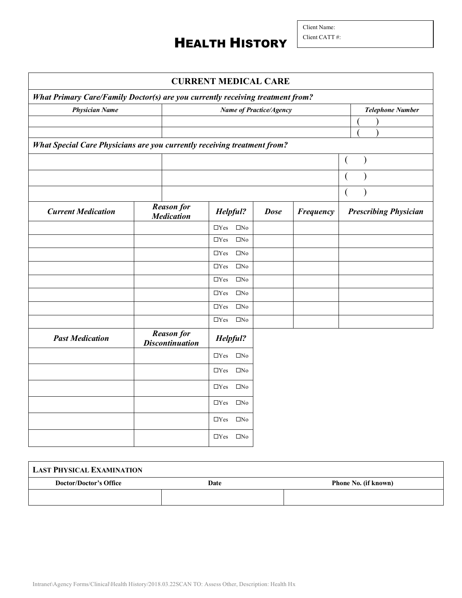## HEALTH HISTORY **Client CATT#:**

Client Name: Name:

Ì

| <b>CURRENT MEDICAL CARE</b>                                                           |                                             |                                |             |                  |                                 |  |  |
|---------------------------------------------------------------------------------------|---------------------------------------------|--------------------------------|-------------|------------------|---------------------------------|--|--|
| <b>What Primary Care/Family Doctor(s) are you currently receiving treatment from?</b> |                                             |                                |             |                  |                                 |  |  |
| <b>Physician Name</b>                                                                 |                                             | <b>Name of Practice/Agency</b> |             |                  | <b>Telephone Number</b>         |  |  |
|                                                                                       |                                             |                                |             |                  |                                 |  |  |
|                                                                                       |                                             |                                |             |                  |                                 |  |  |
| <b>What Special Care Physicians are you currently receiving treatment from?</b>       |                                             |                                |             |                  |                                 |  |  |
|                                                                                       |                                             |                                |             |                  | $\mathcal{E}$<br>$\overline{C}$ |  |  |
|                                                                                       |                                             |                                |             |                  | $\overline{(}$                  |  |  |
|                                                                                       |                                             |                                |             |                  | $\mathbf{)}$<br>$\overline{ }$  |  |  |
| <b>Current Medication</b>                                                             | <b>Reason for</b><br><b>Medication</b>      | Helpful?                       | <b>Dose</b> | <b>Frequency</b> | <b>Prescribing Physician</b>    |  |  |
|                                                                                       |                                             | $\Box$ Yes<br>$\square$        |             |                  |                                 |  |  |
|                                                                                       |                                             | $\square$<br>$\Box$ Yes        |             |                  |                                 |  |  |
|                                                                                       |                                             | $\Box$ Yes<br>$\square$ No     |             |                  |                                 |  |  |
|                                                                                       |                                             | $\Box$ Yes<br>$\square$ No     |             |                  |                                 |  |  |
|                                                                                       |                                             | $\Box$<br>$\square$ No         |             |                  |                                 |  |  |
|                                                                                       |                                             | $\Box$ Yes<br>$\square$ No     |             |                  |                                 |  |  |
|                                                                                       |                                             | $\square$ No<br>$\Box$ Yes     |             |                  |                                 |  |  |
|                                                                                       |                                             | $\Box$ Yes<br>$\square$        |             |                  |                                 |  |  |
| <b>Past Medication</b>                                                                | <b>Reason for</b><br><b>Discontinuation</b> | Helpful?                       |             |                  |                                 |  |  |
|                                                                                       |                                             | $\Box$ Yes<br>$\square$ No     |             |                  |                                 |  |  |
|                                                                                       |                                             | $\Box$ Yes<br>$\square$ No     |             |                  |                                 |  |  |
|                                                                                       |                                             | $\Box$ Yes<br>$\square$ No     |             |                  |                                 |  |  |
|                                                                                       |                                             | $\Box$ Yes<br>$\square$ No     |             |                  |                                 |  |  |
|                                                                                       |                                             | $\Box$ Yes<br>$\square$ No     |             |                  |                                 |  |  |
|                                                                                       |                                             | $\Box$ Yes $\Box$ No           |             |                  |                                 |  |  |

| Date | Phone No. (if known) |
|------|----------------------|
|      |                      |
|      |                      |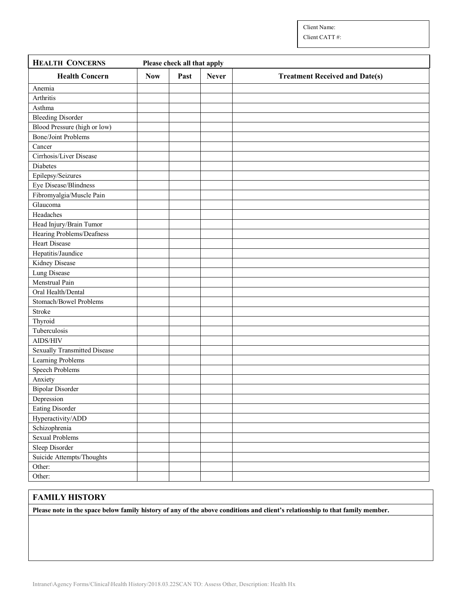Client Name:

Client CATT #:

I

| <b>HEALTH CONCERNS</b>              | Please check all that apply |      |              |                                       |  |  |
|-------------------------------------|-----------------------------|------|--------------|---------------------------------------|--|--|
| <b>Health Concern</b>               | <b>Now</b>                  | Past | <b>Never</b> | <b>Treatment Received and Date(s)</b> |  |  |
| Anemia                              |                             |      |              |                                       |  |  |
| Arthritis                           |                             |      |              |                                       |  |  |
| Asthma                              |                             |      |              |                                       |  |  |
| <b>Bleeding Disorder</b>            |                             |      |              |                                       |  |  |
| Blood Pressure (high or low)        |                             |      |              |                                       |  |  |
| <b>Bone/Joint Problems</b>          |                             |      |              |                                       |  |  |
| Cancer                              |                             |      |              |                                       |  |  |
| Cirrhosis/Liver Disease             |                             |      |              |                                       |  |  |
| Diabetes                            |                             |      |              |                                       |  |  |
| Epilepsy/Seizures                   |                             |      |              |                                       |  |  |
| Eye Disease/Blindness               |                             |      |              |                                       |  |  |
| Fibromyalgia/Muscle Pain            |                             |      |              |                                       |  |  |
| Glaucoma                            |                             |      |              |                                       |  |  |
| Headaches                           |                             |      |              |                                       |  |  |
| Head Injury/Brain Tumor             |                             |      |              |                                       |  |  |
| Hearing Problems/Deafness           |                             |      |              |                                       |  |  |
| <b>Heart Disease</b>                |                             |      |              |                                       |  |  |
| Hepatitis/Jaundice                  |                             |      |              |                                       |  |  |
| Kidney Disease                      |                             |      |              |                                       |  |  |
| Lung Disease                        |                             |      |              |                                       |  |  |
| Menstrual Pain                      |                             |      |              |                                       |  |  |
| Oral Health/Dental                  |                             |      |              |                                       |  |  |
| Stomach/Bowel Problems              |                             |      |              |                                       |  |  |
| <b>Stroke</b>                       |                             |      |              |                                       |  |  |
| Thyroid                             |                             |      |              |                                       |  |  |
| Tuberculosis                        |                             |      |              |                                       |  |  |
| AIDS/HIV                            |                             |      |              |                                       |  |  |
| <b>Sexually Transmitted Disease</b> |                             |      |              |                                       |  |  |
| Learning Problems                   |                             |      |              |                                       |  |  |
| <b>Speech Problems</b>              |                             |      |              |                                       |  |  |
| Anxiety                             |                             |      |              |                                       |  |  |
| <b>Bipolar Disorder</b>             |                             |      |              |                                       |  |  |
| Depression                          |                             |      |              |                                       |  |  |
| <b>Eating Disorder</b>              |                             |      |              |                                       |  |  |
| Hyperactivity/ADD                   |                             |      |              |                                       |  |  |
| Schizophrenia                       |                             |      |              |                                       |  |  |
| <b>Sexual Problems</b>              |                             |      |              |                                       |  |  |
| Sleep Disorder                      |                             |      |              |                                       |  |  |
| Suicide Attempts/Thoughts           |                             |      |              |                                       |  |  |
| Other:                              |                             |      |              |                                       |  |  |
| Other:                              |                             |      |              |                                       |  |  |

## **FAMILY HISTORY**

**Please note in the space below family history of any of the above conditions and client's relationship to that family member.**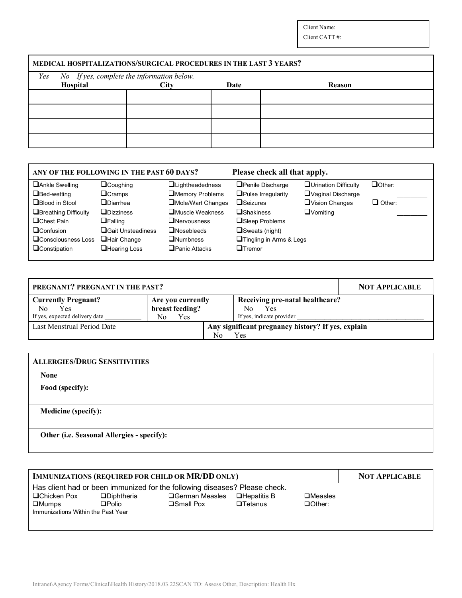Client Name:

Client CATT #:

I

| MEDICAL HOSPITALIZATIONS/SURGICAL PROCEDURES IN THE LAST 3 YEARS? |      |      |               |  |  |  |
|-------------------------------------------------------------------|------|------|---------------|--|--|--|
| Yes No If yes, complete the information below.                    |      |      |               |  |  |  |
| Hospital                                                          | City | Date | <b>Reason</b> |  |  |  |
|                                                                   |      |      |               |  |  |  |
|                                                                   |      |      |               |  |  |  |
|                                                                   |      |      |               |  |  |  |
|                                                                   |      |      |               |  |  |  |
|                                                                   |      |      |               |  |  |  |
|                                                                   |      |      |               |  |  |  |

| ANY OF THE FOLLOWING IN THE PAST 60 DAYS? |                            | Please check all that apply. |                                    |                              |               |
|-------------------------------------------|----------------------------|------------------------------|------------------------------------|------------------------------|---------------|
| Ankle Swelling                            | $\Box$ Coughing            | $\Box$ Lightheadedness       | <b>Penile Discharge</b>            | <b>QUrination Difficulty</b> | $\Box$ Other: |
| $\Box$ Bed-wetting                        | $\Box$ Cramps              | Memory Problems              | $\Box$ Pulse Irregularity          | Vaginal Discharge            |               |
| $\Box$ Blood in Stool                     | $\Box$ Diarrhea            | Mole/Wart Changes            | $\Box$ Seizures                    | $\Box$ Vision Changes        | $\Box$ Other: |
| Breathing Difficulty                      | $\Box$ Dizziness           | $\square$ Muscle Weakness    | $\Box$ Shakiness                   | $\Box$ Vomiting              |               |
| <b>O</b> Chest Pain                       | $\Box$ Falling             | $\Box$ Nervousness           | Sleep Problems                     |                              |               |
| $\Box$ Confusion                          | <b>O</b> Gait Unsteadiness | $\Box$ Nosebleeds            | $\Box$ Sweats (night)              |                              |               |
| <b>Q</b> Consciousness Loss               | Hair Change                | $\Box$ Numbness              | <b>Tingling in Arms &amp; Legs</b> |                              |               |
| <b>Q</b> Constipation                     | <b>Hearing Loss</b>        | $\Box$ Panic Attacks         | $\Box$ Tremor                      |                              |               |
|                                           |                            |                              |                                    |                              |               |

| PREGNANT? PREGNANT IN THE PAST? | <b>NOT APPLICABLE</b> |    |                                                    |  |
|---------------------------------|-----------------------|----|----------------------------------------------------|--|
| <b>Currently Pregnant?</b>      | Are you currently     |    | Receiving pre-natal healthcare?                    |  |
| No.<br>Yes                      | breast feeding?       |    | Yes<br>$\rm No$                                    |  |
| If yes, expected delivery date  | Yes<br>No.            |    | If yes, indicate provider                          |  |
| Last Menstrual Period Date      |                       |    | Any significant pregnancy history? If yes, explain |  |
|                                 |                       | No | <b>Yes</b>                                         |  |

| <b>ALLERGIES/DRUG SENSITIVITIES</b>        |  |
|--------------------------------------------|--|
| <b>None</b>                                |  |
| Food (specify):                            |  |
|                                            |  |
| <b>Medicine (specify):</b>                 |  |
|                                            |  |
| Other (i.e. Seasonal Allergies - specify): |  |
|                                            |  |

| IMMUNIZATIONS (REQUIRED FOR CHILD OR MR/DD ONLY)                           |                                                                            |  |  |  | <b>NOT APPLICABLE</b> |  |  |
|----------------------------------------------------------------------------|----------------------------------------------------------------------------|--|--|--|-----------------------|--|--|
| Has client had or been immunized for the following diseases? Please check. |                                                                            |  |  |  |                       |  |  |
| □Chicken Pox                                                               | □German Measles<br><b>ODiphtheria</b><br>□Hepatitis B<br>$\square$ Measles |  |  |  |                       |  |  |
| <b>OMumps</b>                                                              |                                                                            |  |  |  |                       |  |  |
| Immunizations Within the Past Year                                         |                                                                            |  |  |  |                       |  |  |
|                                                                            |                                                                            |  |  |  |                       |  |  |